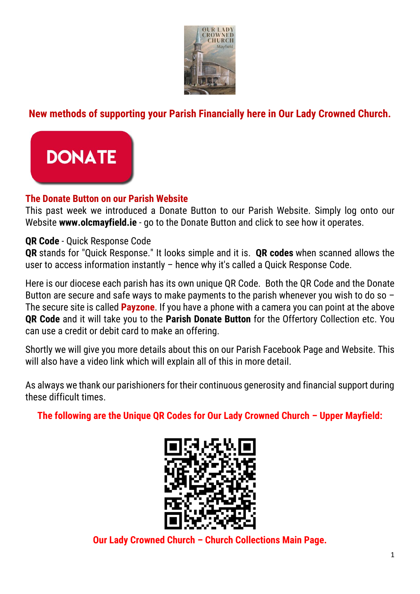

## **New methods of supporting your Parish Financially here in Our Lady Crowned Church.**



## **The Donate Button on our Parish Website**

This past week we introduced a Donate Button to our Parish Website. Simply log onto our Website **www.olcmayfield.ie** - go to the Donate Button and click to see how it operates.

## **QR Code** - Quick Response Code

**QR** stands for "Quick Response." It looks simple and it is. **QR codes** when scanned allows the user to access information instantly – hence why it's called a Quick Response Code.

Here is our diocese each parish has its own unique QR Code. Both the QR Code and the Donate Button are secure and safe ways to make payments to the parish whenever you wish to do so -The secure site is called **Payzone**. If you have a phone with a camera you can point at the above **QR Code** and it will take you to the **Parish Donate Button** for the Offertory Collection etc. You can use a credit or debit card to make an offering.

Shortly we will give you more details about this on our Parish Facebook Page and Website. This will also have a video link which will explain all of this in more detail.

As always we thank our parishioners for their continuous generosity and financial support during these difficult times.

**The following are the Unique QR Codes for Our Lady Crowned Church – Upper Mayfield:**



**Our Lady Crowned Church – Church Collections Main Page.**